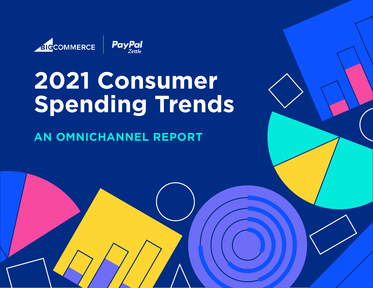

# **2021 Consumer Spending Trends**

**AN OMNICHANNEL REPORT**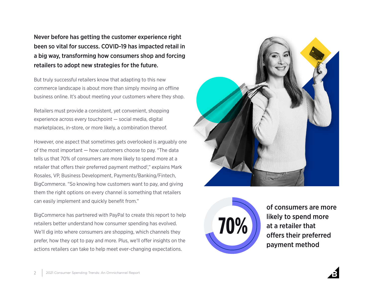Never before has getting the customer experience right been so vital for success. COVID-19 has impacted retail in a big way, transforming how consumers shop and forcing retailers to adopt new strategies for the future.

But truly successful retailers know that adapting to this new commerce landscape is about more than simply moving an offline business online. It's about meeting your customers where they shop.

Retailers must provide a consistent, yet convenient, shopping experience across every touchpoint — social media, digital marketplaces, in-store, or more likely, a combination thereof.

However, one aspect that sometimes gets overlooked is arguably one of the most important — how customers choose to pay. "The data tells us that 70% of consumers are more likely to spend more at a retailer that offers their preferred payment method'," explains Mark Rosales, VP, Business Development, Payments/Banking/Fintech, BigCommerce. "So knowing how customers want to pay, and giving them the right options on every channel is something that retailers can easily implement and quickly benefit from."

BigCommerce has partnered with PayPal to create this report to help retailers better understand how consumer spending has evolved. We'll dig into where consumers are shopping, which channels they prefer, how they opt to pay and more. Plus, we'll offer insights on the actions retailers can take to help meet ever-changing expectations.





of consumers are more likely to spend more at a retailer that offers their preferred payment method

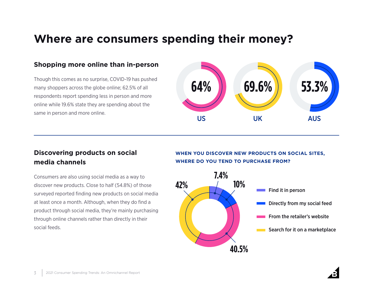## **Where are consumers spending their money?**

#### **Shopping more online than in-person**

Though this comes as no surprise, COVID-19 has pushed many shoppers across the globe online; 62.5% of all respondents report spending less in person and more online while 19.6% state they are spending about the same in person and more online.



### **Discovering products on social media channels**

Consumers are also using social media as a way to discover new products. Close to half (54.8%) of those surveyed reported finding new products on social media at least once a month. Although, when they do find a product through social media, they're mainly purchasing through online channels rather than directly in their social feeds.

#### **WHEN YOU DISCOVER NEW PRODUCTS ON SOCIAL SITES, WHERE DO YOU TEND TO PURCHASE FROM?**



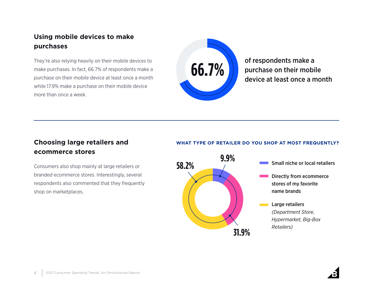### **Using mobile devices to make purchases**

They're also relying heavily on their mobile devices to make purchases. In fact, 66.7% of respondents make a purchase on their mobile device at least once a month while 17.9% make a purchase on their mobile device more than once a week.



of respondents make a purchase on their mobile device at least once a month

### **Choosing large retailers and ecommerce stores**

Consumers also shop mainly at large retailers or branded ecommerce stores. Interestingly, several respondents also commented that they frequently shop on marketplaces.

#### **WHAT TYPE OF RETAILER DO YOU SHOP AT MOST FREQUENTLY?**

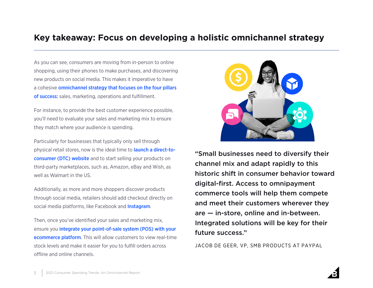### **Key takeaway: Focus on developing a holistic omnichannel strategy**

As you can see, consumers are moving from in-person to online shopping, using their phones to make purchases, and discovering new products on social media. This makes it imperative to have a cohesive [omnichannel strategy that focuses on the four pillars](https://www.bigcommerce.com/dm/omnichannel-strategic-guide/)  [of success:](https://www.bigcommerce.com/dm/omnichannel-strategic-guide/) sales, marketing, operations and fulfillment.

For instance, to provide the best customer experience possible, you'll need to evaluate your sales and marketing mix to ensure they match where your audience is spending.

Particularly for businesses that typically only sell through physical retail stores, now is the ideal time to [launch a direct-to](https://www.bigcommerce.com/dm/b2b-brand-dtc-cdl-guide/)[consumer \(DTC\) website](https://www.bigcommerce.com/dm/b2b-brand-dtc-cdl-guide/) and to start selling your products on third-party marketplaces, such as, Amazon, eBay and Wish, as well as Walmart in the US.

Additionally, as more and more shoppers discover products through social media, retailers should add checkout directly on social media platforms, like Facebook and [Instagram](https://www.bigcommerce.com/blog/instagram-checkout/).

Then, once you've identified your sales and marketing mix, ensure you [integrate your point-of-sale system \(POS\) with your](https://www.zettle.com/gb/integrations/e-commerce/bigcommerce?utm_source=local_partnership&utm_medium=ecommerce&utm_campaign=bigcommerce)  [ecommerce platform](https://www.zettle.com/gb/integrations/e-commerce/bigcommerce?utm_source=local_partnership&utm_medium=ecommerce&utm_campaign=bigcommerce). This will allow customers to view real-time stock levels and make it easier for you to fulfill orders across offline and online channels.



"Small businesses need to diversify their channel mix and adapt rapidly to this historic shift in consumer behavior toward digital-first. Access to omnipayment commerce tools will help them compete and meet their customers wherever they are — in-store, online and in-between. Integrated solutions will be key for their future success."

JACOB DE GEER, VP, SMB PRODUCTS AT PAYPAL

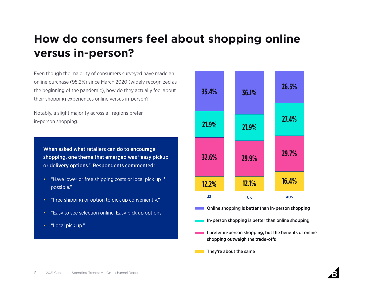# **How do consumers feel about shopping online versus in-person?**

Even though the majority of consumers surveyed have made an online purchase (95.2%) since March 2020 (widely recognized as the beginning of the pandemic), how do they actually feel about their shopping experiences online versus in-person?

Notably, a slight majority across all regions prefer in-person shopping.

When asked what retailers can do to encourage shopping, one theme that emerged was "easy pickup or delivery options." Respondents commented:

- "Have lower or free shipping costs or local pick up if possible."
- "Free shipping or option to pick up conveniently."
- "Easy to see selection online. Easy pick up options."
- "Local pick up."



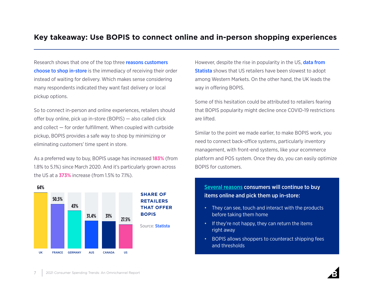### **Key takeaway: Use BOPIS to connect online and in-person shopping experiences**

Research shows that one of the top three **reasons customers** [choose to shop in-store](https://www.raydiant.com/blog/state-of-consumer-behavior-2021/) is the immediacy of receiving their order instead of waiting for delivery. Which makes sense considering many respondents indicated they want fast delivery or local pickup options.

So to connect in-person and online experiences, retailers should offer buy online, pick up in-store (BOPIS) — also called click and collect — for order fulfillment. When coupled with curbside pickup, BOPIS provides a safe way to shop by minimizing or eliminating customers' time spent in store.

As a preferred way to buy, BOPIS usage has increased **183%** (from 1.8% to 5.1%) since March 2020. And it's particularly grown across the US at a **373%** increase (from 1.5% to 7.1%).



However, despite the rise in popularity in the US, **data from [Statista](https://www.statista.com/study/80926/omnichannel-retail-in-the-united-states/)** shows that US retailers have been slowest to adopt among Western Markets. On the other hand, the UK leads the way in offering BOPIS.

Some of this hesitation could be attributed to retailers fearing that BOPIS popularity might decline once COVID-19 restrictions are lifted.

Similar to the point we made earlier, to make BOPIS work, you need to connect back-office systems, particularly inventory management, with front-end systems, like your ecommerce platform and POS system. Once they do, you can easily optimize BOPIS for customers.

#### [Several reasons](https://www.bigcommerce.com/articles/offline-to-online/bopis/) consumers will continue to buy items online and pick them up in-store:

- They can see, touch and interact with the products before taking them home
- If they're not happy, they can return the items right away
- BOPIS allows shoppers to counteract shipping fees and thresholds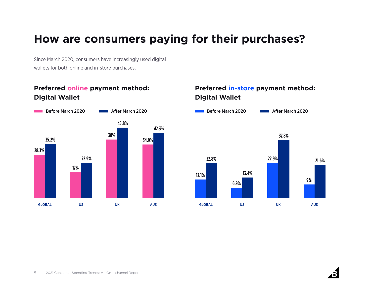# **How are consumers paying for their purchases?**

Since March 2020, consumers have increasingly used digital wallets for both online and in-store purchases.

### **Preferred online payment method: Digital Wallet**



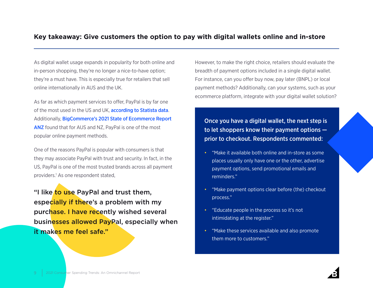#### **Key takeaway: Give customers the option to pay with digital wallets online and in-store**

As digital wallet usage expands in popularity for both online and in-person shopping, they're no longer a nice-to-have option; they're a must have. This is especially true for retailers that sell online internationally in AUS and the UK.

As far as which payment services to offer, PayPal is by far one of the most used in the US and UK, **[according to Statista data](https://www.statista.com/forecasts/997132/online-payments-by-brand-in-the-us)**. Additionally, [BigCommerce's 2021 State of Ecommerce Report](https://www.bigcommerce.com.au/dm/2021-state-of-ecommerce-cdl-report/)  [ANZ](https://www.bigcommerce.com.au/dm/2021-state-of-ecommerce-cdl-report/) found that for AUS and NZ, PayPal is one of the most popular online payment methods.

One of the reasons PayPal is popular with consumers is that they may associate PayPal with trust and security. In fact, in the US, PayPal is one of the most trusted brands across all payment providers.<sup>1</sup> As one respondent stated,

"I like to use PayPal and trust them, especially if there's a problem with my purchase. I have recently wished several businesses allowed PayPal, especially when it makes me feel safe."

However, to make the right choice, retailers should evaluate the breadth of payment options included in a single digital wallet. For instance, can you offer buy now, pay later (BNPL) or local payment methods? Additionally, can your systems, such as your ecommerce platform, integrate with your digital wallet solution?

Once you have a digital wallet, the next step is to let shoppers know their payment options prior to checkout. Respondents commented:

- "Make it available both online and in-store as some places usually only have one or the other, advertise payment options, send promotional emails and reminders."
- "Make payment options clear before (the) checkout process."
- "Educate people in the process so it's not intimidating at the register."
- "Make these services available and also promote them more to customers."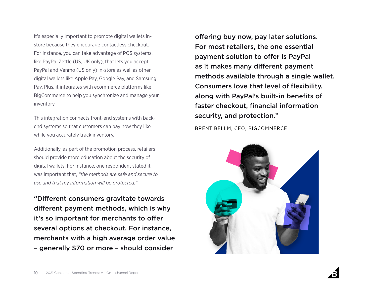It's especially important to promote digital wallets instore because they encourage contactless checkout. For instance, you can take advantage of POS systems, like PayPal Zettle (US, UK only), that lets you accept PayPal and Venmo (US only) in-store as well as other digital wallets like Apple Pay, Google Pay, and Samsung Pay. Plus, it integrates with ecommerce platforms like BigCommerce to help you synchronize and manage your inventory.

This integration connects front-end systems with backend systems so that customers can pay how they like while you accurately track inventory.

Additionally, as part of the promotion process, retailers should provide more education about the security of digital wallets. For instance, one respondent stated it was important that, *"the methods are safe and secure to use and that my information will be protected."* 

"Different consumers gravitate towards different payment methods, which is why it's so important for merchants to offer several options at checkout. For instance, merchants with a high average order value – generally \$70 or more – should consider

offering buy now, pay later solutions. For most retailers, the one essential payment solution to offer is PayPal as it makes many different payment methods available through a single wallet. Consumers love that level of flexibility, along with PayPal's built-in benefits of faster checkout, financial information security, and protection."

BRENT BELLM, CEO, BIGCOMMERCE



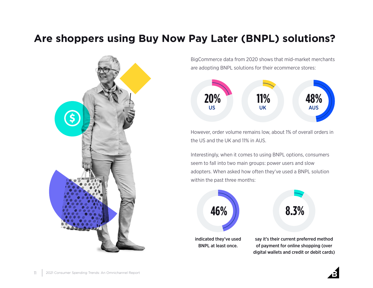# **Are shoppers using Buy Now Pay Later (BNPL) solutions?**



BigCommerce data from 2020 shows that mid-market merchants are adopting BNPL solutions for their ecommerce stores:



However, order volume remains low, about 1% of overall orders in the US and the UK and 11% in AUS.

Interestingly, when it comes to using BNPL options, consumers seem to fall into two main groups: power users and slow adopters. When asked how often they've used a BNPL solution within the past three months:

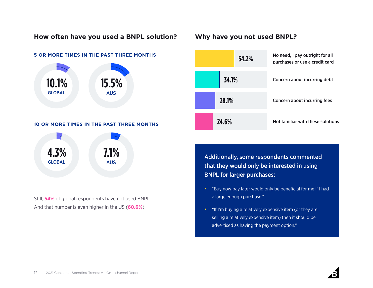#### **How often have you used a BNPL solution? Why have you not used BNPL?**

#### **5 OR MORE TIMES IN THE PAST THREE MONTHS**



#### **10 OR MORE TIMES IN THE PAST THREE MONTHS**



Still, **54%** of global respondents have not used BNPL. And that number is even higher in the US (**60.6%**).



Additionally, some respondents commented that they would only be interested in using BNPL for larger purchases:

- "Buy now pay later would only be beneficial for me if I had a large enough purchase."
- "If I'm buying a relatively expensive item (or they are selling a relatively expensive item) then it should be advertised as having the payment option."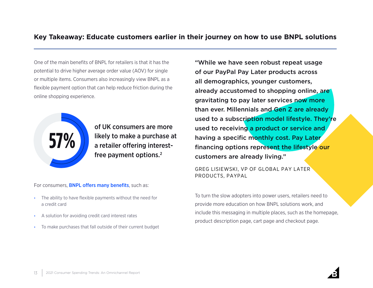#### **Key Takeaway: Educate customers earlier in their journey on how to use BNPL solutions**

One of the main benefits of BNPL for retailers is that it has the potential to drive higher average order value (AOV) for single or multiple items. Consumers also increasingly view BNPL as a flexible payment option that can help reduce friction during the online shopping experience.



of UK consumers are more likely to make a purchase at a retailer offering interestfree payment options.2

For consumers, **[BNPL offers many benefits](https://www.fool.com/the-ascent/research/buy-now-pay-later-statistics/)**, such as:

- The ability to have flexible payments without the need for a credit card
- A solution for avoiding credit card interest rates
- To make purchases that fall outside of their current budget

"While we have seen robust repeat usage of our PayPal Pay Later products across all demographics, younger customers, already accustomed to shopping online, are gravitating to pay later services now more than ever. Millennials and Gen Z are already used to a subscription model lifestyle. They're used to receiving a product or service and having a specific monthly cost. Pay Later financing options represent the lifestyle our customers are already living."

GREG LISIEWSKI, VP OF GLOBAL PAY LATER PRODUCTS, PAYPAL

To turn the slow adopters into power users, retailers need to provide more education on how BNPL solutions work, and include this messaging in multiple places, such as the homepage, product description page, cart page and checkout page.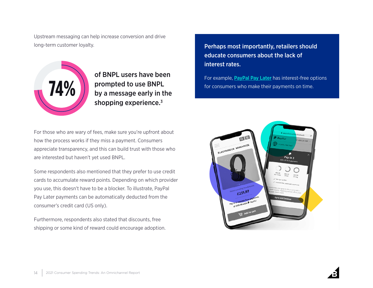Upstream messaging can help increase conversion and drive long-term customer loyalty.



of BNPL users have been prompted to use BNPL by a message early in the shopping experience.<sup>3</sup>

For those who are wary of fees, make sure you're upfront about how the process works if they miss a payment. Consumers appreciate transparency, and this can build trust with those who are interested but haven't yet used BNPL.

Some respondents also mentioned that they prefer to use credit cards to accumulate reward points. Depending on which provider you use, this doesn't have to be a blocker. To illustrate, PayPal Pay Later payments can be automatically deducted from the consumer's credit card (US only).

Furthermore, respondents also stated that discounts, free shipping or some kind of reward could encourage adoption. Perhaps most importantly, retailers should educate consumers about the lack of interest rates.

For example, **[PayPal Pay Later](https://www.paypal.com/business/buy-now-pay-later)** has interest-free options for consumers who make their payments on time.

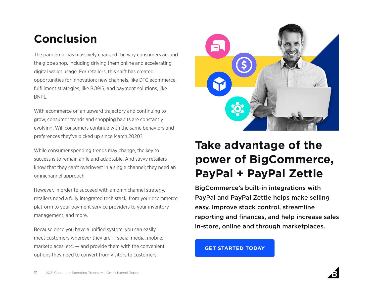# **Conclusion**

The pandemic has massively changed the way consumers around the globe shop, including driving them online and accelerating digital wallet usage. For retailers, this shift has created opportunities for innovation: new channels, like DTC ecommerce, fulfillment strategies, like BOPIS, and payment solutions, like BNPL.

With ecommerce on an upward trajectory and continuing to grow, consumer trends and shopping habits are constantly evolving. Will consumers continue with the same behaviors and preferences they've picked up since March 2020?

While consumer spending trends may change, the key to success is to remain agile and adaptable. And savvy retailers know that they can't overinvest in a single channel; they need an omnichannel approach.

However, in order to succeed with an omnichannel strategy, retailers need a fully integrated tech stack, from your ecommerce platform to your payment service providers to your inventory management, and more.

Because once you have a unified system, you can easily meet customers wherever they are — social media, mobile, marketplaces,  $etc. -$  and provide them with the convenient options they need to convert from visitors to customers.



# **Take advantage of the power of BigCommerce, PayPal + PayPal Zettle**

BigCommerce's built-in integrations with PayPal and PayPal Zettle helps make selling easy. Improve stock control, streamline reporting and finances, and help increase sales in-store, online and through marketplaces.

**[GET STARTED TODAY](https://www.bigcommerce.com/dm/paypal-zettle-demo)**